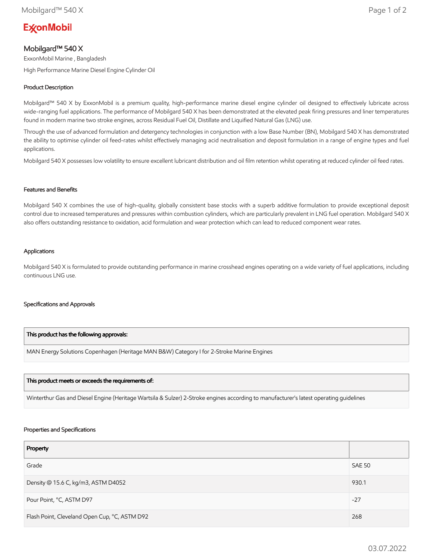# **ExconMobil**

# Mobilgard™ 540 X

ExxonMobil Marine , Bangladesh

High Performance Marine Diesel Engine Cylinder Oil

# Product Description

Mobilgard™ 540 X by ExxonMobil is a premium quality, high-performance marine diesel engine cylinder oil designed to effectively lubricate across wide-ranging fuel applications. The performance of Mobilgard 540 X has been demonstrated at the elevated peak firing pressures and liner temperatures found in modern marine two stroke engines, across Residual Fuel Oil, Distillate and Liquified Natural Gas (LNG) use.

Through the use of advanced formulation and detergency technologies in conjunction with a low Base Number (BN), Mobilgard 540 X has demonstrated the ability to optimise cylinder oil feed-rates whilst effectively managing acid neutralisation and deposit formulation in a range of engine types and fuel applications.

Mobilgard 540 X possesses low volatility to ensure excellent lubricant distribution and oil film retention whilst operating at reduced cylinder oil feed rates.

### Features and Benefits

Mobilgard 540 X combines the use of high-quality, globally consistent base stocks with a superb additive formulation to provide exceptional deposit control due to increased temperatures and pressures within combustion cylinders, which are particularly prevalent in LNG fuel operation. Mobilgard 540 X also offers outstanding resistance to oxidation, acid formulation and wear protection which can lead to reduced component wear rates.

### Applications

Mobilgard 540 X is formulated to provide outstanding performance in marine crosshead engines operating on a wide variety of fuel applications, including continuous LNG use.

#### Specifications and Approvals

# This product has the following approvals:

MAN Energy Solutions Copenhagen (Heritage MAN B&W) Category I for 2-Stroke Marine Engines

#### This product meets or exceeds the requirements of:

Winterthur Gas and Diesel Engine (Heritage Wartsila & Sulzer) 2-Stroke engines according to manufacturer's latest operating guidelines

#### Properties and Specifications

| Property                                      |               |
|-----------------------------------------------|---------------|
| Grade                                         | <b>SAE 50</b> |
| Density @ 15.6 C, kg/m3, ASTM D4052           | 930.1         |
| Pour Point, °C, ASTM D97                      | $-27$         |
| Flash Point, Cleveland Open Cup, °C, ASTM D92 | 268           |